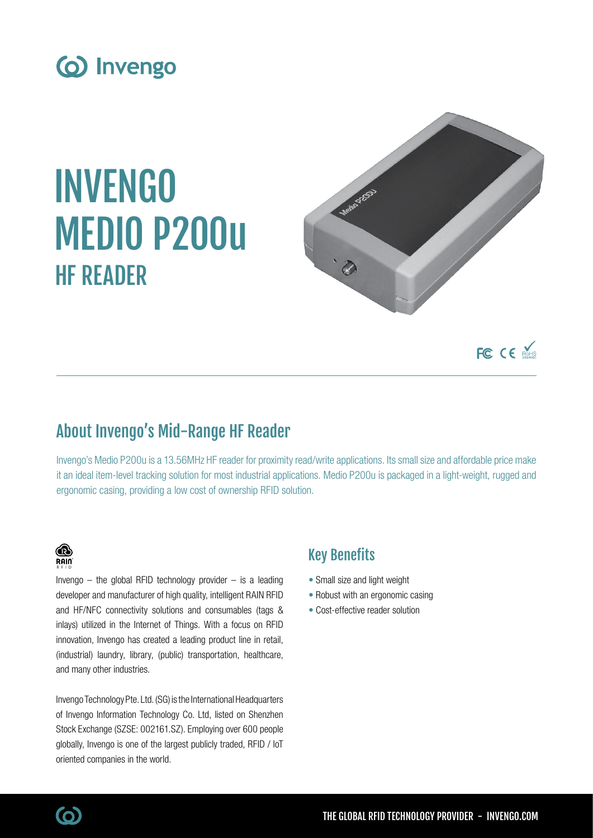

# INVENGO MEDIO P200u HF READER



FC CE MOHS

## About Invengo's Mid-Range HF Reader

Invengo's Medio P200u is a 13.56MHz HF reader for proximity read/write applications. Its small size and affordable price make it an ideal item-level tracking solution for most industrial applications. Medio P200u is packaged in a light-weight, rugged and ergonomic casing, providing a low cost of ownership RFID solution.

### **B**  $R$ ain

Invengo  $-$  the global RFID technology provider  $-$  is a leading developer and manufacturer of high quality, intelligent RAIN RFID and HF/NFC connectivity solutions and consumables (tags & inlays) utilized in the Internet of Things. With a focus on RFID innovation, Invengo has created a leading product line in retail, (industrial) laundry, library, (public) transportation, healthcare, and many other industries.

Invengo Technology Pte. Ltd. (SG) is the International Headquarters of Invengo Information Technology Co. Ltd, listed on Shenzhen Stock Exchange (SZSE: 002161.SZ). Employing over 600 people globally, Invengo is one of the largest publicly traded, RFID / IoT oriented companies in the world.

## Key Benefits

- Small size and light weight
- Robust with an ergonomic casing
- Cost-effective reader solution